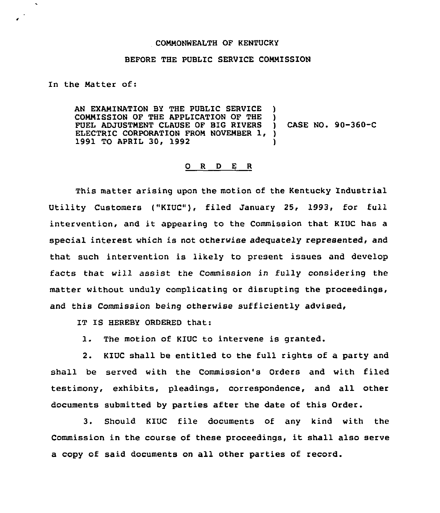## COMMONNEALTH OF KENTUCKY

## BEFORE THE PUBLIC SERVICE COMMISSION

In the Matter of:

AN EXAMINATION BY THE PUBLIC SERVICE ) COMMISSION OF THE APPLICATION OF THE ) FUEL ADJUSTMENT CLAUSE OF BIG RIVERS ELECTRIC CORPORATION FROM NOVEMBER 1, )<br>1991 TO APRIL 30, 1992 1991 TO APRIL 30, 1992 ) CASE NO. 90-360-C

## 0 <sup>R</sup> <sup>D</sup> E <sup>R</sup>

This matter arising upon the motion of the Kentucky Industrial Utility Customers ("KIUC"), filed January 25, 1993, for full intervention, and it appearing to the Commission that KIUC has <sup>a</sup> special interest which is not otherwise adequately represented, and that such intervention is likely to present issues and develop facts that will assist the Commission in fully considering the matter without unduly complicating or disrupting the proceedings, and this Commission being otherwise sufficiently advised,

IT IS HEREBY ORDERED that:

1. The motion of KIUC to intervene is granted.

2. KIUC shall be entitled to the full rights of a party and shall be served with the Commission's Orders and with filed testimony, exhibits, pleadings, correspondence, and all other documents submitted by parties after the date of this Order.

3. Should KIUC file documents of any kind with the Commission in the course of these proceedings, it shall also serve a copy of said documents on all other parties of record.